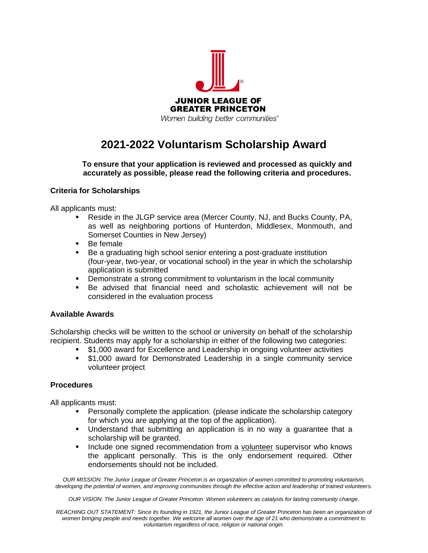

## **2021-2022 Voluntarism Scholarship Award**

**To ensure that your application is reviewed and processed as quickly and accurately as possible, please read the following criteria and procedures.**

## **Criteria for Scholarships**

All applicants must:

- Reside in the JLGP service area (Mercer County, NJ, and Bucks County, PA, as well as neighboring portions of Hunterdon, Middlesex, Monmouth, and Somerset Counties in New Jersey)
- Be female
- Be a graduating high school senior entering a post-graduate institution (four-year, two-year, or vocational school) in the year in which the scholarship application is submitted
- **•** Demonstrate a strong commitment to voluntarism in the local community
- Be advised that financial need and scholastic achievement will not be considered in the evaluation process

## **Available Awards**

Scholarship checks will be written to the school or university on behalf of the scholarship recipient. Students may apply for a scholarship in either of the following two categories:

- \$1,000 award for Excellence and Leadership in ongoing volunteer activities
- \$1,000 award for Demonstrated Leadership in a single community service volunteer project

## **Procedures**

All applicants must:

- **•** Personally complete the application. (please indicate the scholarship category for which you are applying at the top of the application).
- Understand that submitting an application is in no way a guarantee that a scholarship will be granted.
- **•** Include one signed recommendation from a volunteer supervisor who knows the applicant personally. This is the only endorsement required. Other endorsements should not be included.

*OUR MISSION: The Junior League of Greater Princeton is an organization of women committed to promoting voluntarism, developing the potential of women, and improving communities through the effective action and leadership of trained volunteers.*

*OUR VISION: The Junior League of Greater Princeton: Women volunteers as catalysts for lasting community change.*

*REACHING OUT STATEMENT: Since its founding in 1921, the Junior League of Greater Princeton has been an organization of women bringing people and needs together. We welcome all women over the age of 21 who demonstrate a commitment to voluntarism regardless of race, religion or national origin.*